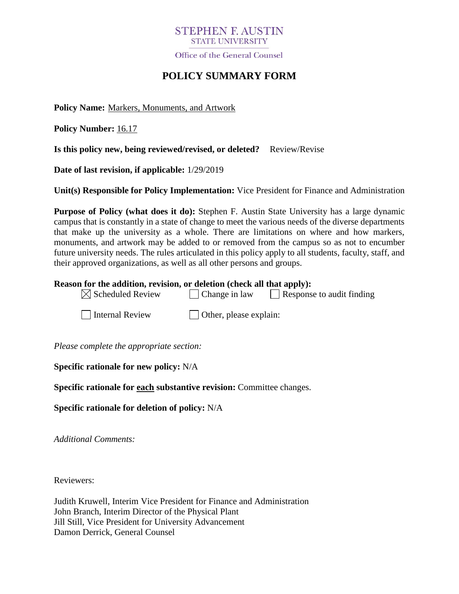## **STEPHEN E AUSTIN STATE UNIVERSITY**

Office of the General Counsel

# **POLICY SUMMARY FORM**

**Policy Name:** Markers, Monuments, and Artwork

**Policy Number:** 16.17

**Is this policy new, being reviewed/revised, or deleted?** Review/Revise

**Date of last revision, if applicable:** 1/29/2019

**Unit(s) Responsible for Policy Implementation:** Vice President for Finance and Administration

**Purpose of Policy (what does it do):** Stephen F. Austin State University has a large dynamic campus that is constantly in a state of change to meet the various needs of the diverse departments that make up the university as a whole. There are limitations on where and how markers, monuments, and artwork may be added to or removed from the campus so as not to encumber future university needs. The rules articulated in this policy apply to all students, faculty, staff, and their approved organizations, as well as all other persons and groups.

#### **Reason for the addition, revision, or deletion (check all that apply):**

 $\boxtimes$  Scheduled Review  $\Box$  Change in law  $\Box$  Response to audit finding

 $\Box$  Internal Review  $\Box$  Other, please explain:

*Please complete the appropriate section:*

**Specific rationale for new policy:** N/A

**Specific rationale for each substantive revision:** Committee changes.

**Specific rationale for deletion of policy:** N/A

*Additional Comments:*

Reviewers:

Judith Kruwell, Interim Vice President for Finance and Administration John Branch, Interim Director of the Physical Plant Jill Still, Vice President for University Advancement Damon Derrick, General Counsel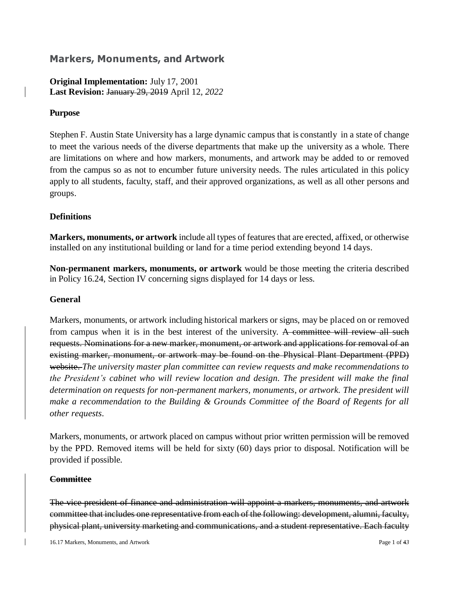## **Markers, Monuments, and Artwork**

**Original Implementation:** July 17, 2001 **Last Revision:** January 29, 2019 April 12*, 2022*

#### **Purpose**

Stephen F. Austin State University has a large dynamic campus that is constantly in a state of change to meet the various needs of the diverse departments that make up the university as a whole. There are limitations on where and how markers, monuments, and artwork may be added to or removed from the campus so as not to encumber future university needs. The rules articulated in this policy apply to all students, faculty, staff, and their approved organizations, as well as all other persons and groups.

### **Definitions**

**Markers, monuments, or artwork** include all types of features that are erected, affixed, or otherwise installed on any institutional building or land for a time period extending beyond 14 days.

**Non-permanent markers, monuments, or artwork** would be those meeting the criteria described in Policy 16.24, Section IV concerning signs displayed for 14 days or less.

#### **General**

Markers, monuments, or artwork including historical markers or signs, may be placed on or removed from campus when it is in the best interest of the university. A committee will review all such requests. Nominations for a new marker, monument, or artwork and applications for removal of an existing marker, monument, or artwork may be found on the Physical Plant Department (PPD) website. *The university master plan committee can review requests and make recommendations to the President's cabinet who will review location and design. The president will make the final determination on requests for non-permanent markers, monuments, or artwork. The president will make a recommendation to the Building & Grounds Committee of the Board of Regents for all other requests.*

Markers, monuments, or artwork placed on campus without prior written permission will be removed by the PPD. Removed items will be held for sixty (60) days prior to disposal. Notification will be provided if possible.

#### **Committee**

The vice president of finance and administration will appoint a markers, monuments, and artwork committee that includes one representative from each of the following: development, alumni, faculty, physical plant, university marketing and communications, and a student representative. Each faculty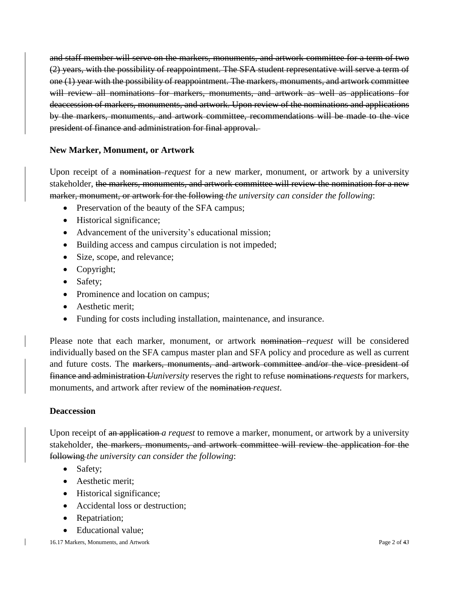and staff member will serve on the markers, monuments, and artwork committee for a term of two (2) years, with the possibility of reappointment. The SFA student representative will serve a term of one (1) year with the possibility of reappointment. The markers, monuments, and artwork committee will review all nominations for markers, monuments, and artwork as well as applications for deaccession of markers, monuments, and artwork. Upon review of the nominations and applications by the markers, monuments, and artwork committee, recommendations will be made to the vice president of finance and administration for final approval.

## **New Marker, Monument, or Artwork**

Upon receipt of a nomination *request* for a new marker, monument, or artwork by a university stakeholder, the markers, monuments, and artwork committee will review the nomination for a new marker, monument, or artwork for the following *the university can consider the following*:

- Preservation of the beauty of the SFA campus;
- Historical significance;
- Advancement of the university's educational mission;
- Building access and campus circulation is not impeded;
- Size, scope, and relevance;
- Copyright;
- Safety;
- Prominence and location on campus;
- Aesthetic merit:
- Funding for costs including installation, maintenance, and insurance.

Please note that each marker, monument, or artwork nomination–*request* will be considered individually based on the SFA campus master plan and SFA policy and procedure as well as current and future costs. The markers, monuments, and artwork committee and/or the vice president of finance and administration *Uuniversity* reserves the right to refuse nominations *requests* for markers, monuments, and artwork after review of the nomination *request*.

### **Deaccession**

Upon receipt of an application *a request* to remove a marker, monument, or artwork by a university stakeholder, the markers, monuments, and artwork committee will review the application for the following *the university can consider the following*:

- Safety:
- Aesthetic merit;
- Historical significance;
- Accidental loss or destruction;
- Repatriation;
- Educational value;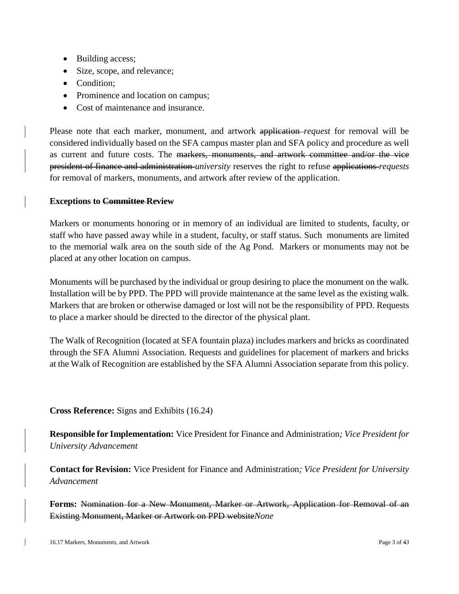- Building access;
- Size, scope, and relevance;
- Condition;
- Prominence and location on campus;
- Cost of maintenance and insurance.

Please note that each marker, monument, and artwork application *request* for removal will be considered individually based on the SFA campus master plan and SFA policy and procedure as well as current and future costs. The markers, monuments, and artwork committee and/or the vice president of finance and administration *university* reserves the right to refuse applications *requests*  for removal of markers, monuments, and artwork after review of the application.

#### **Exceptions to Committee Review**

Markers or monuments honoring or in memory of an individual are limited to students, faculty, or staff who have passed away while in a student, faculty, or staff status. Such monuments are limited to the memorial walk area on the south side of the Ag Pond. Markers or monuments may not be placed at any other location on campus.

Monuments will be purchased by the individual or group desiring to place the monument on the walk. Installation will be by PPD. The PPD will provide maintenance at the same level as the existing walk. Markers that are broken or otherwise damaged or lost will not be the responsibility of PPD. Requests to place a marker should be directed to the director of the physical plant.

The Walk of Recognition (located at SFA fountain plaza) includes markers and bricks as coordinated through the SFA Alumni Association. Requests and guidelines for placement of markers and bricks at the Walk of Recognition are established by the SFA Alumni Association separate from this policy.

**Cross Reference:** Signs and Exhibits (16.24)

**Responsible for Implementation:** Vice President for Finance and Administration*; Vice President for University Advancement*

**Contact for Revision:** Vice President for Finance and Administration*; Vice President for University Advancement*

**Forms:** Nomination for a New Monument, Marker or Artwork, Application for Removal of an Existing Monument, Marker or Artwork on PPD website*None*